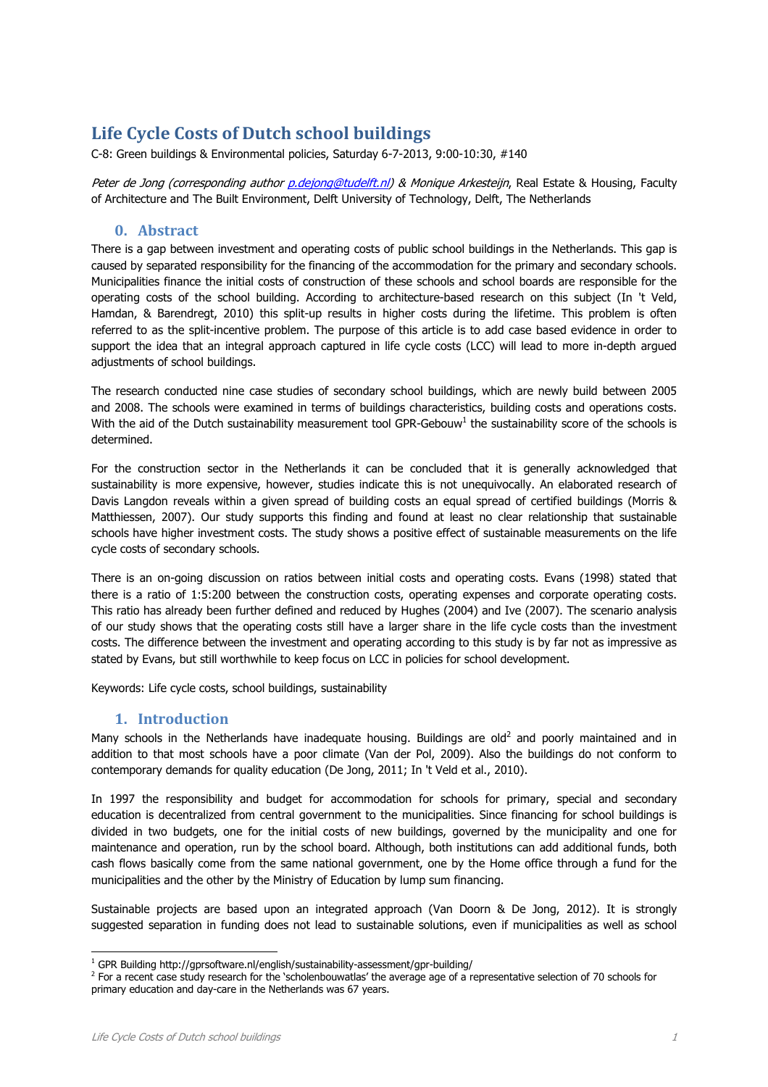# **Life Cycle Costs of Dutch school buildings**

C-8: Green buildings & Environmental policies, Saturday 6-7-2013, 9:00-10:30, #140

Peter de Jong (corresponding author p.dejong@tudelft.nl) & Monique Arkesteijn, Real Estate & Housing, Faculty of Architecture and The Built Environment, Delft University of Technology, Delft, The Netherlands

# **0. Abstract**

There is a gap between investment and operating costs of public school buildings in the Netherlands. This gap is caused by separated responsibility for the financing of the accommodation for the primary and secondary schools. Municipalities finance the initial costs of construction of these schools and school boards are responsible for the operating costs of the school building. According to architecture-based research on this subject (In 't Veld, Hamdan, & Barendregt, 2010) this split-up results in higher costs during the lifetime. This problem is often referred to as the split-incentive problem. The purpose of this article is to add case based evidence in order to support the idea that an integral approach captured in life cycle costs (LCC) will lead to more in-depth argued adjustments of school buildings.

The research conducted nine case studies of secondary school buildings, which are newly build between 2005 and 2008. The schools were examined in terms of buildings characteristics, building costs and operations costs. With the aid of the Dutch sustainability measurement tool GPR-Gebouw<sup>1</sup> the sustainability score of the schools is determined.

For the construction sector in the Netherlands it can be concluded that it is generally acknowledged that sustainability is more expensive, however, studies indicate this is not unequivocally. An elaborated research of Davis Langdon reveals within a given spread of building costs an equal spread of certified buildings (Morris & Matthiessen, 2007). Our study supports this finding and found at least no clear relationship that sustainable schools have higher investment costs. The study shows a positive effect of sustainable measurements on the life cycle costs of secondary schools.

There is an on-going discussion on ratios between initial costs and operating costs. Evans (1998) stated that there is a ratio of 1:5:200 between the construction costs, operating expenses and corporate operating costs. This ratio has already been further defined and reduced by Hughes (2004) and Ive (2007). The scenario analysis of our study shows that the operating costs still have a larger share in the life cycle costs than the investment costs. The difference between the investment and operating according to this study is by far not as impressive as stated by Evans, but still worthwhile to keep focus on LCC in policies for school development.

Keywords: Life cycle costs, school buildings, sustainability

# **1. Introduction**

Many schools in the Netherlands have inadequate housing. Buildings are old<sup>2</sup> and poorly maintained and in addition to that most schools have a poor climate (Van der Pol, 2009). Also the buildings do not conform to contemporary demands for quality education (De Jong, 2011; In 't Veld et al., 2010).

In 1997 the responsibility and budget for accommodation for schools for primary, special and secondary education is decentralized from central government to the municipalities. Since financing for school buildings is divided in two budgets, one for the initial costs of new buildings, governed by the municipality and one for maintenance and operation, run by the school board. Although, both institutions can add additional funds, both cash flows basically come from the same national government, one by the Home office through a fund for the municipalities and the other by the Ministry of Education by lump sum financing.

Sustainable projects are based upon an integrated approach (Van Doorn & De Jong, 2012). It is strongly suggested separation in funding does not lead to sustainable solutions, even if municipalities as well as school

ł

<sup>&</sup>lt;sup>1</sup> GPR Building http://gprsoftware.nl/english/sustainability-assessment/gpr-building/

<sup>&</sup>lt;sup>2</sup> For a recent case study research for the 'scholenbouwatlas' the average age of a representative selection of 70 schools for primary education and day-care in the Netherlands was 67 years.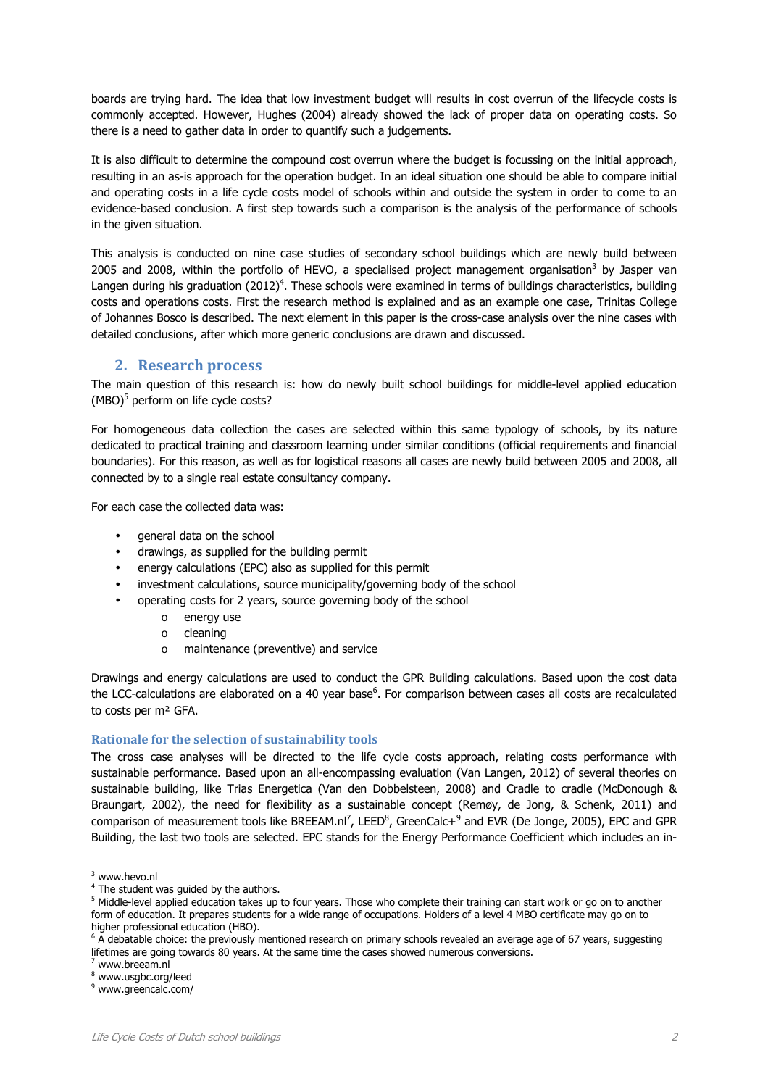boards are trying hard. The idea that low investment budget will results in cost overrun of the lifecycle costs is commonly accepted. However, Hughes (2004) already showed the lack of proper data on operating costs. So there is a need to gather data in order to quantify such a judgements.

It is also difficult to determine the compound cost overrun where the budget is focussing on the initial approach, resulting in an as-is approach for the operation budget. In an ideal situation one should be able to compare initial and operating costs in a life cycle costs model of schools within and outside the system in order to come to an evidence-based conclusion. A first step towards such a comparison is the analysis of the performance of schools in the given situation.

This analysis is conducted on nine case studies of secondary school buildings which are newly build between 2005 and 2008, within the portfolio of HEVO, a specialised project management organisation<sup>3</sup> by Jasper van Langen during his graduation (2012)<sup>4</sup>. These schools were examined in terms of buildings characteristics, building costs and operations costs. First the research method is explained and as an example one case, Trinitas College of Johannes Bosco is described. The next element in this paper is the cross-case analysis over the nine cases with detailed conclusions, after which more generic conclusions are drawn and discussed.

# **2. Research process**

The main question of this research is: how do newly built school buildings for middle-level applied education (MBO)<sup>5</sup> perform on life cycle costs?

For homogeneous data collection the cases are selected within this same typology of schools, by its nature dedicated to practical training and classroom learning under similar conditions (official requirements and financial boundaries). For this reason, as well as for logistical reasons all cases are newly build between 2005 and 2008, all connected by to a single real estate consultancy company.

For each case the collected data was:

- general data on the school
- drawings, as supplied for the building permit
- energy calculations (EPC) also as supplied for this permit
- investment calculations, source municipality/governing body of the school
- operating costs for 2 years, source governing body of the school
	- o energy use
	- o cleaning
	- o maintenance (preventive) and service

Drawings and energy calculations are used to conduct the GPR Building calculations. Based upon the cost data the LCC-calculations are elaborated on a 40 year base<sup>6</sup>. For comparison between cases all costs are recalculated to costs per m² GFA.

#### **Rationale for the selection of sustainability tools**

The cross case analyses will be directed to the life cycle costs approach, relating costs performance with sustainable performance. Based upon an all-encompassing evaluation (Van Langen, 2012) of several theories on sustainable building, like Trias Energetica (Van den Dobbelsteen, 2008) and Cradle to cradle (McDonough & Braungart, 2002), the need for flexibility as a sustainable concept (Remøy, de Jong, & Schenk, 2011) and comparison of measurement tools like BREEAM.nl<sup>7</sup>, LEED<sup>8</sup>, GreenCalc+<sup>9</sup> and EVR (De Jonge, 2005), EPC and GPR Building, the last two tools are selected. EPC stands for the Energy Performance Coefficient which includes an in-

ł

<sup>3</sup> www.hevo.nl

<sup>&</sup>lt;sup>4</sup> The student was guided by the authors.

<sup>&</sup>lt;sup>5</sup> Middle-level applied education takes up to four years. Those who complete their training can start work or go on to another form of education. It prepares students for a wide range of occupations. Holders of a level 4 MBO certificate may go on to higher professional education (HBO).

<sup>&</sup>lt;sup>6</sup> A debatable choice: the previously mentioned research on primary schools revealed an average age of 67 years, suggesting lifetimes are going towards 80 years. At the same time the cases showed numerous conversions.

<sup>7</sup> www.breeam.nl

<sup>8</sup> www.usgbc.org/leed

<sup>&</sup>lt;sup>9</sup> www.greencalc.com/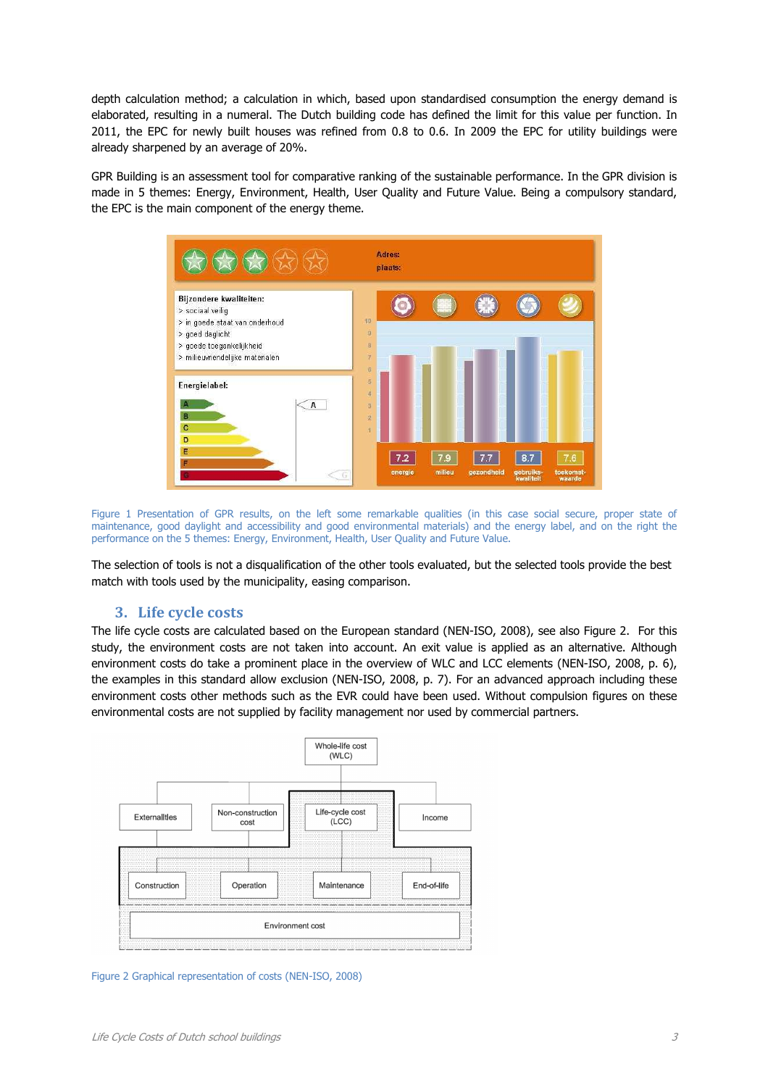depth calculation method; a calculation in which, based upon standardised consumption the energy demand is elaborated, resulting in a numeral. The Dutch building code has defined the limit for this value per function. In 2011, the EPC for newly built houses was refined from 0.8 to 0.6. In 2009 the EPC for utility buildings were already sharpened by an average of 20%.

GPR Building is an assessment tool for comparative ranking of the sustainable performance. In the GPR division is made in 5 themes: Energy, Environment, Health, User Quality and Future Value. Being a compulsory standard, the EPC is the main component of the energy theme.



Figure 1 Presentation of GPR results, on the left some remarkable qualities (in this case social secure, proper state of maintenance, good daylight and accessibility and good environmental materials) and the energy label, and on the right the performance on the 5 themes: Energy, Environment, Health, User Quality and Future Value.

The selection of tools is not a disqualification of the other tools evaluated, but the selected tools provide the best match with tools used by the municipality, easing comparison.

## **3. Life cycle costs**

The life cycle costs are calculated based on the European standard (NEN-ISO, 2008), see also Figure 2. For this study, the environment costs are not taken into account. An exit value is applied as an alternative. Although environment costs do take a prominent place in the overview of WLC and LCC elements (NEN-ISO, 2008, p. 6), the examples in this standard allow exclusion (NEN-ISO, 2008, p. 7). For an advanced approach including these environment costs other methods such as the EVR could have been used. Without compulsion figures on these environmental costs are not supplied by facility management nor used by commercial partners.



Figure 2 Graphical representation of costs (NEN-ISO, 2008)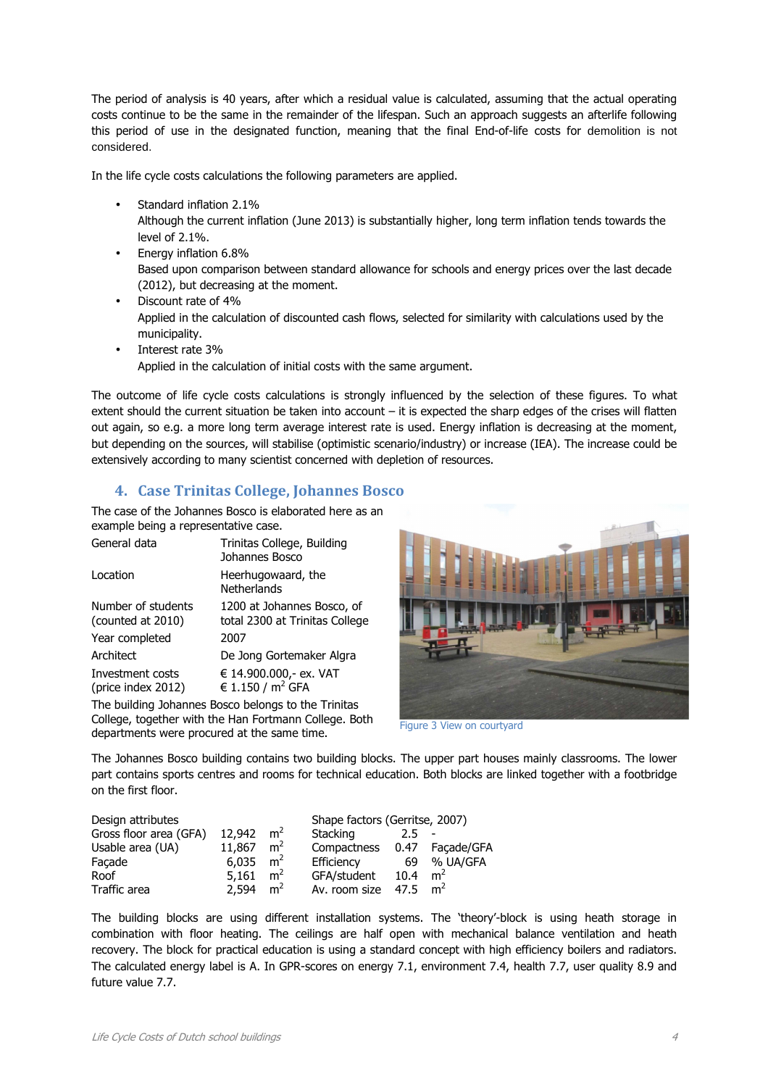The period of analysis is 40 years, after which a residual value is calculated, assuming that the actual operating costs continue to be the same in the remainder of the lifespan. Such an approach suggests an afterlife following this period of use in the designated function, meaning that the final End-of-life costs for demolition is not considered.

In the life cycle costs calculations the following parameters are applied.

- Standard inflation 2.1% Although the current inflation (June 2013) is substantially higher, long term inflation tends towards the level of 2.1%.
- Energy inflation 6.8% Based upon comparison between standard allowance for schools and energy prices over the last decade (2012), but decreasing at the moment.
- Discount rate of 4% Applied in the calculation of discounted cash flows, selected for similarity with calculations used by the municipality.
- Interest rate 3% Applied in the calculation of initial costs with the same argument.

The outcome of life cycle costs calculations is strongly influenced by the selection of these figures. To what extent should the current situation be taken into account – it is expected the sharp edges of the crises will flatten out again, so e.g. a more long term average interest rate is used. Energy inflation is decreasing at the moment, but depending on the sources, will stabilise (optimistic scenario/industry) or increase (IEA). The increase could be extensively according to many scientist concerned with depletion of resources.

# **4. Case Trinitas College, Johannes Bosco**

The case of the Johannes Bosco is elaborated here as an example being a representative case.

| General data                            | Trinitas College, Building<br>Johannes Bosco                 |
|-----------------------------------------|--------------------------------------------------------------|
| Location                                | Heerhugowaard, the<br>Netherlands                            |
| Number of students<br>(counted at 2010) | 1200 at Johannes Bosco, of<br>total 2300 at Trinitas College |
| Year completed                          | 2007                                                         |
| Architect                               | De Jong Gortemaker Algra                                     |
| Investment costs<br>(price index 2012)  | € 14.900.000,- ex. VAT<br>€ 1.150 / $m^2$ GFA                |

The building Johannes Bosco belongs to the Trinitas College, together with the Han Fortmann College. Both departments were procured at the same time.



Figure 3 View on courtyard

The Johannes Bosco building contains two building blocks. The upper part houses mainly classrooms. The lower part contains sports centres and rooms for technical education. Both blocks are linked together with a footbridge on the first floor.

| Design attributes      |        |                | Shape factors (Gerritse, 2007) |      |                |
|------------------------|--------|----------------|--------------------------------|------|----------------|
| Gross floor area (GFA) | 12,942 | m <sup>2</sup> | Stacking                       |      |                |
| Usable area (UA)       | 11,867 | m <sup>2</sup> | Compactness 0.47 Façade/GFA    |      |                |
| Facade                 | 6,035  | m <sup>2</sup> | Efficiency                     | 69   | % UA/GFA       |
| Roof                   | 5,161  | m <sup>2</sup> | GFA/student                    | 10.4 | m <sup>2</sup> |
| Traffic area           | 2.594  | m <sup>2</sup> | Av. room size                  | 47.5 | m <sup>2</sup> |

The building blocks are using different installation systems. The 'theory'-block is using heath storage in combination with floor heating. The ceilings are half open with mechanical balance ventilation and heath recovery. The block for practical education is using a standard concept with high efficiency boilers and radiators. The calculated energy label is A. In GPR-scores on energy 7.1, environment 7.4, health 7.7, user quality 8.9 and future value 7.7.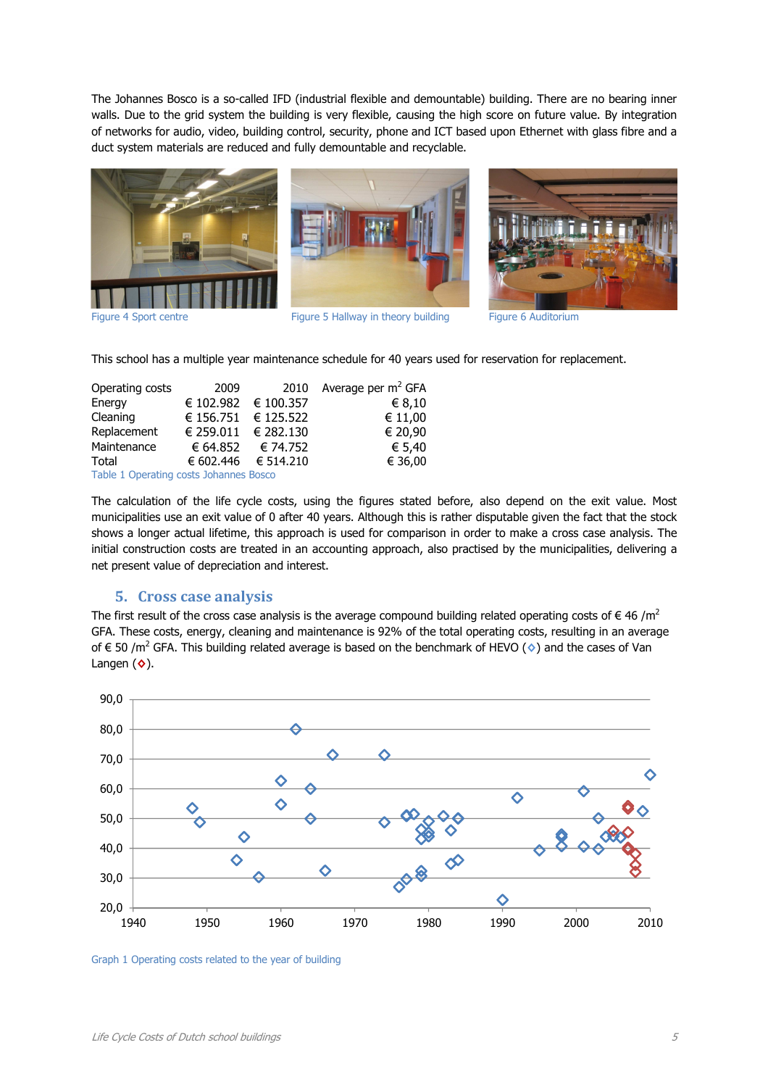The Johannes Bosco is a so-called IFD (industrial flexible and demountable) building. There are no bearing inner walls. Due to the grid system the building is very flexible, causing the high score on future value. By integration of networks for audio, video, building control, security, phone and ICT based upon Ethernet with glass fibre and a duct system materials are reduced and fully demountable and recyclable.



Figure 4 Sport centre Figure 5 Hallway in theory building Figure 6 Auditorium



This school has a multiple year maintenance schedule for 40 years used for reservation for replacement.

| Operating costs                        | 2009                    | 2010                    | Average per $m^2$ GFA |  |  |
|----------------------------------------|-------------------------|-------------------------|-----------------------|--|--|
| Energy                                 | € 102.982 € 100.357     |                         | € 8,10                |  |  |
| Cleaning                               | € 156.751 $\in$ 125.522 |                         | € 11,00               |  |  |
| Replacement                            | € 259.011 $\in$ 282.130 |                         | € 20,90               |  |  |
| Maintenance                            | € 64.852                | € 74.752                | € 5,40                |  |  |
| Total                                  |                         | € 602,446 $\in$ 514,210 | € 36,00               |  |  |
| Table 1 Operating costs Johannes Bosco |                         |                         |                       |  |  |

The calculation of the life cycle costs, using the figures stated before, also depend on the exit value. Most municipalities use an exit value of 0 after 40 years. Although this is rather disputable given the fact that the stock shows a longer actual lifetime, this approach is used for comparison in order to make a cross case analysis. The initial construction costs are treated in an accounting approach, also practised by the municipalities, delivering a net present value of depreciation and interest.

## **5. Cross case analysis**

The first result of the cross case analysis is the average compound building related operating costs of  $\epsilon$  46 /m<sup>2</sup> GFA. These costs, energy, cleaning and maintenance is 92% of the total operating costs, resulting in an average of € 50 /m<sup>2</sup> GFA. This building related average is based on the benchmark of HEVO (**◊**) and the cases of Van Langen (**◊**).



Graph 1 Operating costs related to the year of building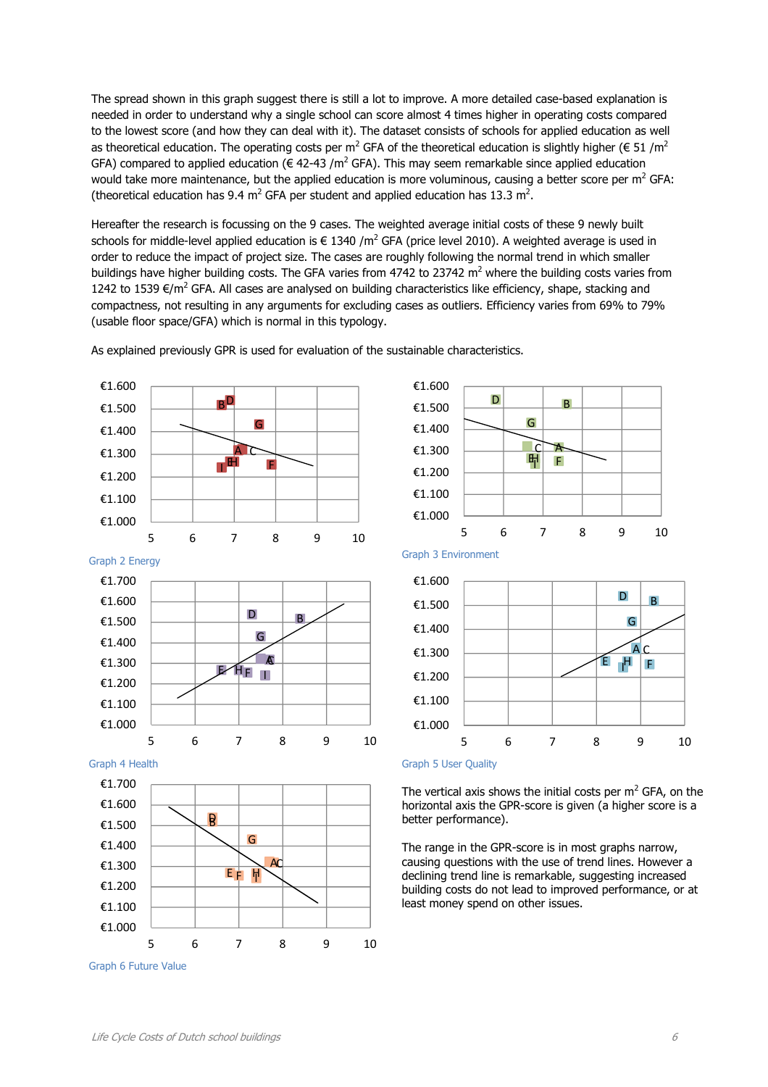The spread shown in this graph suggest there is still a lot to improve. A more detailed case-based explanation is needed in order to understand why a single school can score almost 4 times higher in operating costs compared to the lowest score (and how they can deal with it). The dataset consists of schools for applied education as well as theoretical education. The operating costs per m<sup>2</sup> GFA of the theoretical education is slightly higher ( $\in$  51 /m<sup>2</sup> GFA) compared to applied education ( $\epsilon$  42-43 /m<sup>2</sup> GFA). This may seem remarkable since applied education would take more maintenance, but the applied education is more voluminous, causing a better score per m<sup>2</sup> GFA: (theoretical education has 9.4  $m^2$  GFA per student and applied education has 13.3  $m^2$ .

Hereafter the research is focussing on the 9 cases. The weighted average initial costs of these 9 newly built schools for middle-level applied education is  $\in$  1340 /m<sup>2</sup> GFA (price level 2010). A weighted average is used in order to reduce the impact of project size. The cases are roughly following the normal trend in which smaller buildings have higher building costs. The GFA varies from 4742 to 23742  $m^2$  where the building costs varies from 1242 to 1539 €/m<sup>2</sup> GFA. All cases are analysed on building characteristics like efficiency, shape, stacking and compactness, not resulting in any arguments for excluding cases as outliers. Efficiency varies from 69% to 79% (usable floor space/GFA) which is normal in this typology.

Graph 2 Energy Graph 3 Environment Graph 4 Health Graph 5 User Quality Graph 6 Future Value A B D C E F HI G €1.000 €1.100 €1.200 €1.300 €1.400 €1.500 €1.600 5 6 7 8 9 10 A C B D  $\mathsf{F}$  H  $\mathsf{F}$  I G €1.000 €1.100 €1.200 €1.300 €1.400 €1.500 €1.600 €1.700 5 6 7 8 9 10 A C B D E F G HI €1.000 €1.100 €1.200 €1.300 €1.400 €1.500 €1.600 €1.700 5 6 7 8 9 10

As explained previously GPR is used for evaluation of the sustainable characteristics.





The vertical axis shows the initial costs per  $m^2$  GFA, on the horizontal axis the GPR-score is given (a higher score is a better performance).

The range in the GPR-score is in most graphs narrow, causing questions with the use of trend lines. However a declining trend line is remarkable, suggesting increased building costs do not lead to improved performance, or at least money spend on other issues.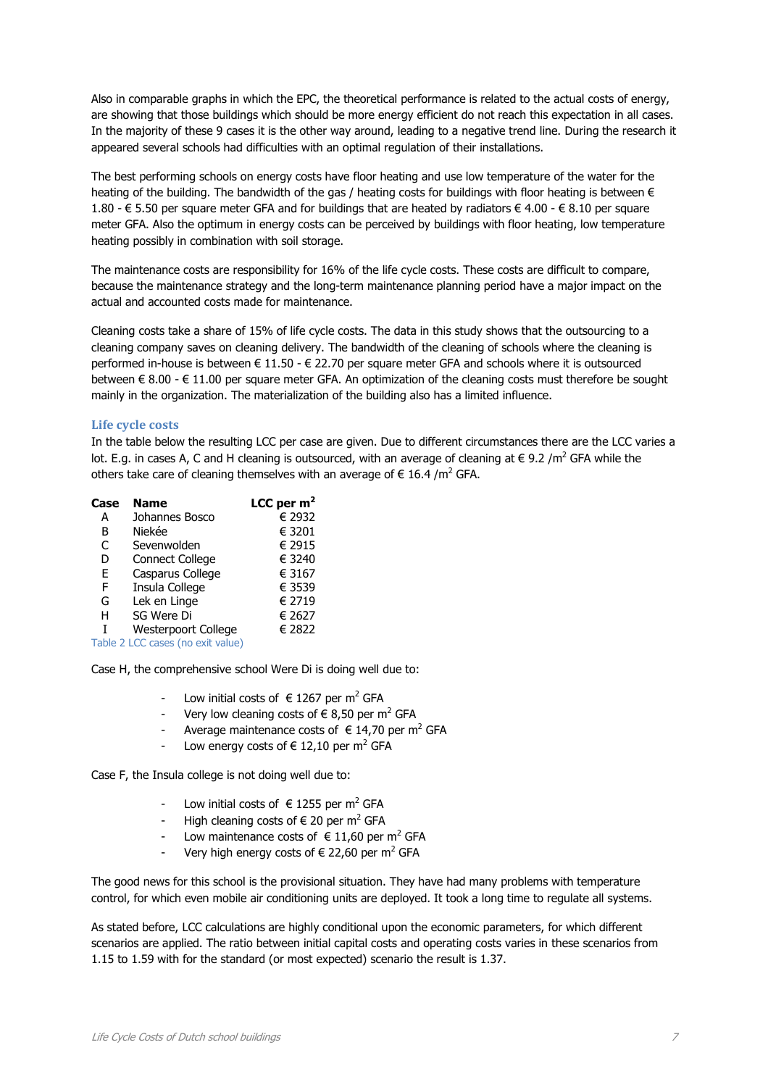Also in comparable graphs in which the EPC, the theoretical performance is related to the actual costs of energy, are showing that those buildings which should be more energy efficient do not reach this expectation in all cases. In the majority of these 9 cases it is the other way around, leading to a negative trend line. During the research it appeared several schools had difficulties with an optimal regulation of their installations.

The best performing schools on energy costs have floor heating and use low temperature of the water for the heating of the building. The bandwidth of the gas / heating costs for buildings with floor heating is between  $\epsilon$ 1.80 - € 5.50 per square meter GFA and for buildings that are heated by radiators € 4.00 - € 8.10 per square meter GFA. Also the optimum in energy costs can be perceived by buildings with floor heating, low temperature heating possibly in combination with soil storage.

The maintenance costs are responsibility for 16% of the life cycle costs. These costs are difficult to compare, because the maintenance strategy and the long-term maintenance planning period have a major impact on the actual and accounted costs made for maintenance.

Cleaning costs take a share of 15% of life cycle costs. The data in this study shows that the outsourcing to a cleaning company saves on cleaning delivery. The bandwidth of the cleaning of schools where the cleaning is performed in-house is between € 11.50 - € 22.70 per square meter GFA and schools where it is outsourced between € 8.00 - € 11.00 per square meter GFA. An optimization of the cleaning costs must therefore be sought mainly in the organization. The materialization of the building also has a limited influence.

#### **Life cycle costs**

In the table below the resulting LCC per case are given. Due to different circumstances there are the LCC varies a lot. E.g. in cases A, C and H cleaning is outsourced, with an average of cleaning at  $\in$  9.2 /m<sup>2</sup> GFA while the others take care of cleaning themselves with an average of  $\in$  16.4 /m<sup>2</sup> GFA.

| Case | <b>Name</b>                       | LCC per $m2$ |
|------|-----------------------------------|--------------|
| A    | Johannes Bosco                    | € 2932       |
| в    | Niekée                            | € 3201       |
| C    | Sevenwolden                       | € 2915       |
| D    | <b>Connect College</b>            | € 3240       |
| F    | Casparus College                  | € 3167       |
| F    | Insula College                    | € 3539       |
| G    | Lek en Linge                      | € 2719       |
| н    | SG Were Di                        | € 2627       |
|      | <b>Westerpoort College</b>        | € 2822       |
|      | Table 2 LCC cases (no exit value) |              |

Case H, the comprehensive school Were Di is doing well due to:

- Low initial costs of € 1267 per m<sup>2</sup> GFA
- Very low cleaning costs of € 8,50 per m<sup>2</sup> GFA
- Average maintenance costs of  $\in$  14,70 per m<sup>2</sup> GFA
- Low energy costs of  $\in$  12,10 per m<sup>2</sup> GFA

Case F, the Insula college is not doing well due to:

- Low initial costs of € 1255 per m<sup>2</sup> GFA
- High cleaning costs of  $\epsilon$  20 per m<sup>2</sup> GFA
- Low maintenance costs of  $\in$  11,60 per m<sup>2</sup> GFA
- Very high energy costs of  $\epsilon$  22,60 per m<sup>2</sup> GFA

The good news for this school is the provisional situation. They have had many problems with temperature control, for which even mobile air conditioning units are deployed. It took a long time to regulate all systems.

As stated before, LCC calculations are highly conditional upon the economic parameters, for which different scenarios are applied. The ratio between initial capital costs and operating costs varies in these scenarios from 1.15 to 1.59 with for the standard (or most expected) scenario the result is 1.37.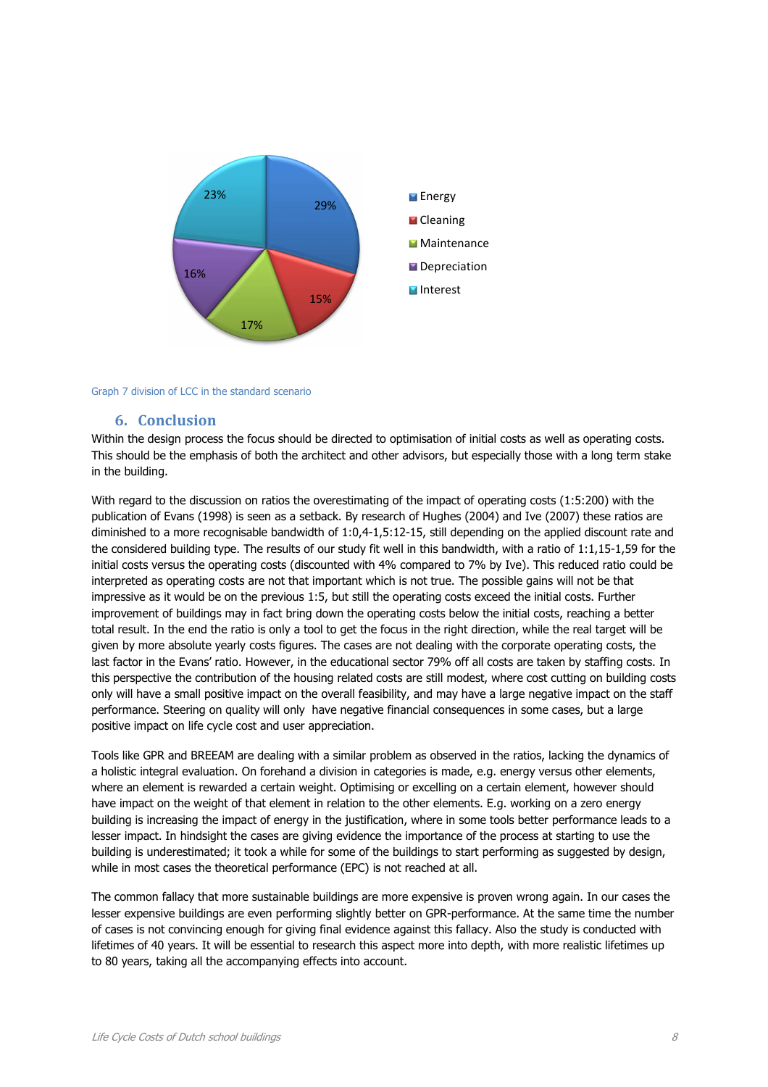

#### Graph 7 division of LCC in the standard scenario

#### **6. Conclusion**

Within the design process the focus should be directed to optimisation of initial costs as well as operating costs. This should be the emphasis of both the architect and other advisors, but especially those with a long term stake in the building.

With regard to the discussion on ratios the overestimating of the impact of operating costs (1:5:200) with the publication of Evans (1998) is seen as a setback. By research of Hughes (2004) and Ive (2007) these ratios are diminished to a more recognisable bandwidth of 1:0,4-1,5:12-15, still depending on the applied discount rate and the considered building type. The results of our study fit well in this bandwidth, with a ratio of 1:1,15-1,59 for the initial costs versus the operating costs (discounted with 4% compared to 7% by Ive). This reduced ratio could be interpreted as operating costs are not that important which is not true. The possible gains will not be that impressive as it would be on the previous 1:5, but still the operating costs exceed the initial costs. Further improvement of buildings may in fact bring down the operating costs below the initial costs, reaching a better total result. In the end the ratio is only a tool to get the focus in the right direction, while the real target will be given by more absolute yearly costs figures. The cases are not dealing with the corporate operating costs, the last factor in the Evans' ratio. However, in the educational sector 79% off all costs are taken by staffing costs. In this perspective the contribution of the housing related costs are still modest, where cost cutting on building costs only will have a small positive impact on the overall feasibility, and may have a large negative impact on the staff performance. Steering on quality will only have negative financial consequences in some cases, but a large positive impact on life cycle cost and user appreciation.

Tools like GPR and BREEAM are dealing with a similar problem as observed in the ratios, lacking the dynamics of a holistic integral evaluation. On forehand a division in categories is made, e.g. energy versus other elements, where an element is rewarded a certain weight. Optimising or excelling on a certain element, however should have impact on the weight of that element in relation to the other elements. E.g. working on a zero energy building is increasing the impact of energy in the justification, where in some tools better performance leads to a lesser impact. In hindsight the cases are giving evidence the importance of the process at starting to use the building is underestimated; it took a while for some of the buildings to start performing as suggested by design, while in most cases the theoretical performance (EPC) is not reached at all.

The common fallacy that more sustainable buildings are more expensive is proven wrong again. In our cases the lesser expensive buildings are even performing slightly better on GPR-performance. At the same time the number of cases is not convincing enough for giving final evidence against this fallacy. Also the study is conducted with lifetimes of 40 years. It will be essential to research this aspect more into depth, with more realistic lifetimes up to 80 years, taking all the accompanying effects into account.